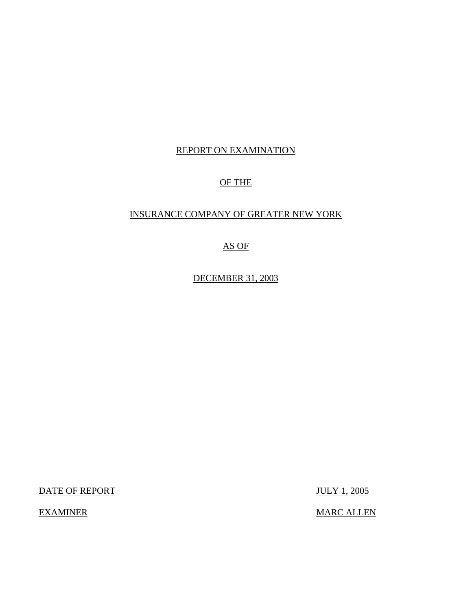## REPORT ON EXAMINATION

## OF THE

## INSURANCE COMPANY OF GREATER NEW YORK

## AS OF

DECEMBER 31, 2003

DATE OF REPORT JULY 1, 2005

EXAMINER MARC ALLEN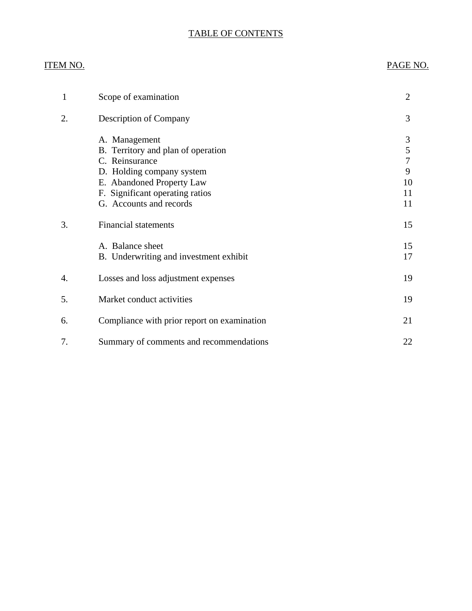## TABLE OF CONTENTS

## ITEM NO. PAGE NO.

| 1  | Scope of examination                                                                                                                                                                          | $\overline{2}$                     |
|----|-----------------------------------------------------------------------------------------------------------------------------------------------------------------------------------------------|------------------------------------|
| 2. | <b>Description of Company</b>                                                                                                                                                                 | 3                                  |
|    | A. Management<br>B. Territory and plan of operation<br>C. Reinsurance<br>D. Holding company system<br>E. Abandoned Property Law<br>F. Significant operating ratios<br>G. Accounts and records | 3<br>5<br>7<br>9<br>10<br>11<br>11 |
| 3. | <b>Financial statements</b>                                                                                                                                                                   | 15                                 |
|    | A. Balance sheet<br>B. Underwriting and investment exhibit                                                                                                                                    | 15<br>17                           |
| 4. | Losses and loss adjustment expenses                                                                                                                                                           | 19                                 |
| 5. | Market conduct activities                                                                                                                                                                     | 19                                 |
| 6. | Compliance with prior report on examination                                                                                                                                                   | 21                                 |
| 7. | Summary of comments and recommendations                                                                                                                                                       | 22                                 |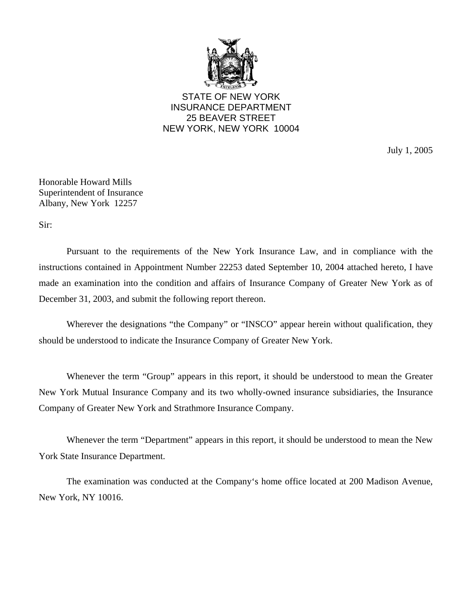

STATE OF NEW YORK INSURANCE DEPARTMENT 25 BEAVER STREET NEW YORK, NEW YORK 10004

July 1, 2005

Honorable Howard Mills Superintendent of Insurance Albany, New York 12257

Sir:

Pursuant to the requirements of the New York Insurance Law, and in compliance with the instructions contained in Appointment Number 22253 dated September 10, 2004 attached hereto, I have made an examination into the condition and affairs of Insurance Company of Greater New York as of December 31, 2003, and submit the following report thereon.

Wherever the designations "the Company" or "INSCO" appear herein without qualification, they should be understood to indicate the Insurance Company of Greater New York.

Whenever the term "Group" appears in this report, it should be understood to mean the Greater New York Mutual Insurance Company and its two wholly-owned insurance subsidiaries, the Insurance Company of Greater New York and Strathmore Insurance Company.

Whenever the term "Department" appears in this report, it should be understood to mean the New York State Insurance Department.

The examination was conducted at the Company's home office located at 200 Madison Avenue, New York, NY 10016.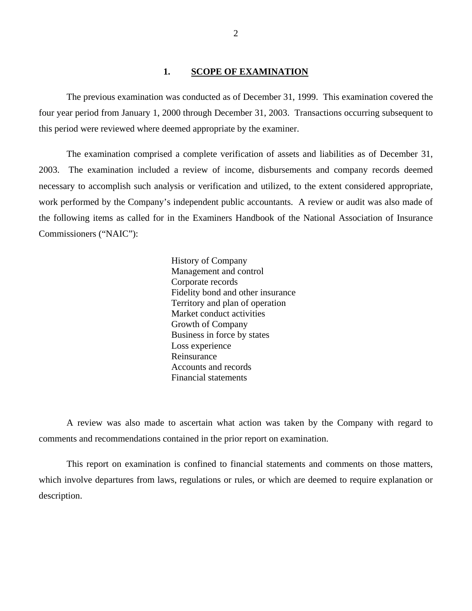#### **1. SCOPE OF EXAMINATION**

<span id="page-3-0"></span>The previous examination was conducted as of December 31, 1999. This examination covered the four year period from January 1, 2000 through December 31, 2003. Transactions occurring subsequent to this period were reviewed where deemed appropriate by the examiner.

The examination comprised a complete verification of assets and liabilities as of December 31, 2003. The examination included a review of income, disbursements and company records deemed necessary to accomplish such analysis or verification and utilized, to the extent considered appropriate, work performed by the Company's independent public accountants. A review or audit was also made of the following items as called for in the Examiners Handbook of the National Association of Insurance Commissioners ("NAIC"):

> History of Company Management and control Corporate records Fidelity bond and other insurance Territory and plan of operation Market conduct activities Growth of Company Business in force by states Loss experience Reinsurance Accounts and records Financial statements

A review was also made to ascertain what action was taken by the Company with regard to comments and recommendations contained in the prior report on examination.

This report on examination is confined to financial statements and comments on those matters, which involve departures from laws, regulations or rules, or which are deemed to require explanation or description.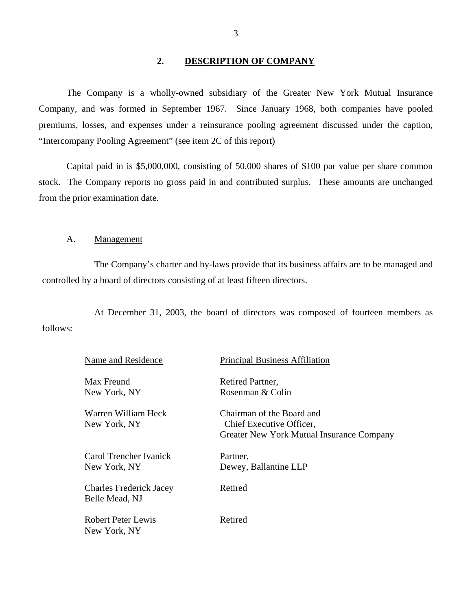#### **2. DESCRIPTION OF COMPANY**

<span id="page-4-0"></span>The Company is a wholly-owned subsidiary of the Greater New York Mutual Insurance Company, and was formed in September 1967. Since January 1968, both companies have pooled premiums, losses, and expenses under a reinsurance pooling agreement discussed under the caption, "Intercompany Pooling Agreement" (see item 2C of this report)

Capital paid in is \$5,000,000, consisting of 50,000 shares of \$100 par value per share common stock. The Company reports no gross paid in and contributed surplus. These amounts are unchanged from the prior examination date.

#### A. Management

The Company's charter and by-laws provide that its business affairs are to be managed and controlled by a board of directors consisting of at least fifteen directors.

At December 31, 2003, the board of directors was composed of fourteen members as follows:

| Name and Residence                               | <b>Principal Business Affiliation</b>                                                              |
|--------------------------------------------------|----------------------------------------------------------------------------------------------------|
| Max Freund                                       | Retired Partner,                                                                                   |
| New York, NY                                     | Rosenman & Colin                                                                                   |
| Warren William Heck<br>New York, NY              | Chairman of the Board and<br>Chief Executive Officer,<br>Greater New York Mutual Insurance Company |
| Carol Trencher Ivanick<br>New York, NY           | Partner,<br>Dewey, Ballantine LLP                                                                  |
| <b>Charles Frederick Jacey</b><br>Belle Mead, NJ | Retired                                                                                            |
| Robert Peter Lewis<br>New York, NY               | Retired                                                                                            |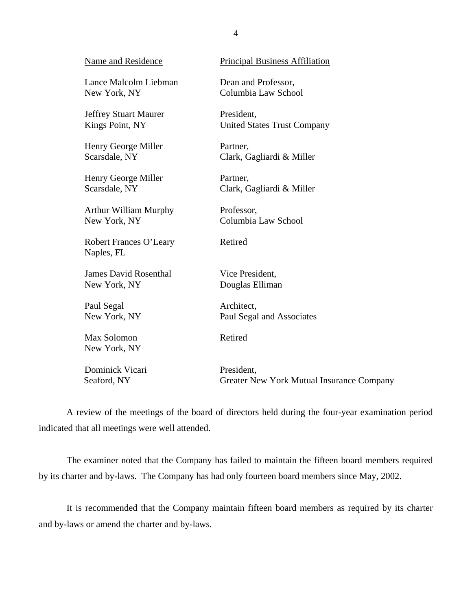| Name and Residence                   | <b>Principal Business Affiliation</b>     |
|--------------------------------------|-------------------------------------------|
| Lance Malcolm Liebman                | Dean and Professor,                       |
| New York, NY                         | Columbia Law School                       |
| <b>Jeffrey Stuart Maurer</b>         | President,                                |
| Kings Point, NY                      | <b>United States Trust Company</b>        |
| Henry George Miller                  | Partner,                                  |
| Scarsdale, NY                        | Clark, Gagliardi & Miller                 |
| Henry George Miller                  | Partner,                                  |
| Scarsdale, NY                        | Clark, Gagliardi & Miller                 |
| <b>Arthur William Murphy</b>         | Professor,                                |
| New York, NY                         | Columbia Law School                       |
| Robert Frances O'Leary<br>Naples, FL | Retired                                   |
| <b>James David Rosenthal</b>         | Vice President,                           |
| New York, NY                         | Douglas Elliman                           |
| Paul Segal                           | Architect,                                |
| New York, NY                         | Paul Segal and Associates                 |
| Max Solomon<br>New York, NY          | Retired                                   |
| Dominick Vicari                      | President,                                |
| Seaford, NY                          | Greater New York Mutual Insurance Company |

A review of the meetings of the board of directors held during the four-year examination period indicated that all meetings were well attended.

The examiner noted that the Company has failed to maintain the fifteen board members required by its charter and by-laws. The Company has had only fourteen board members since May, 2002.

It is recommended that the Company maintain fifteen board members as required by its charter and by-laws or amend the charter and by-laws.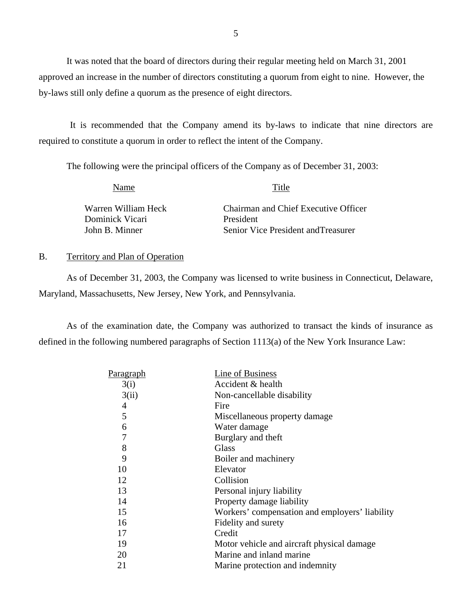It was noted that the board of directors during their regular meeting held on March 31, 2001 approved an increase in the number of directors constituting a quorum from eight to nine. However, the by-laws still only define a quorum as the presence of eight directors.

It is recommended that the Company amend its by-laws to indicate that nine directors are required to constitute a quorum in order to reflect the intent of the Company.

The following were the principal officers of the Company as of December 31, 2003:

Name Title

Warren William Heck Dominick Vicari John B. Minner

Chairman and Chief Executive Officer President Senior Vice President andTreasurer

#### B. Territory and Plan of Operation

As of December 31, 2003, the Company was licensed to write business in Connecticut, Delaware, Maryland, Massachusetts, New Jersey, New York, and Pennsylvania.

As of the examination date, the Company was authorized to transact the kinds of insurance as defined in the following numbered paragraphs of Section 1113(a) of the New York Insurance Law:

| <u>Paragraph</u> | Line of Business                               |
|------------------|------------------------------------------------|
| 3(i)             | Accident & health                              |
| 3(ii)            | Non-cancellable disability                     |
| 4                | Fire                                           |
| 5                | Miscellaneous property damage                  |
| 6                | Water damage                                   |
| 7                | Burglary and theft                             |
| 8                | <b>Glass</b>                                   |
| 9                | Boiler and machinery                           |
| 10               | Elevator                                       |
| 12               | Collision                                      |
| 13               | Personal injury liability                      |
| 14               | Property damage liability                      |
| 15               | Workers' compensation and employers' liability |
| 16               | Fidelity and surety                            |
| 17               | Credit                                         |
| 19               | Motor vehicle and aircraft physical damage     |
| 20               | Marine and inland marine                       |
| 21               | Marine protection and indemnity                |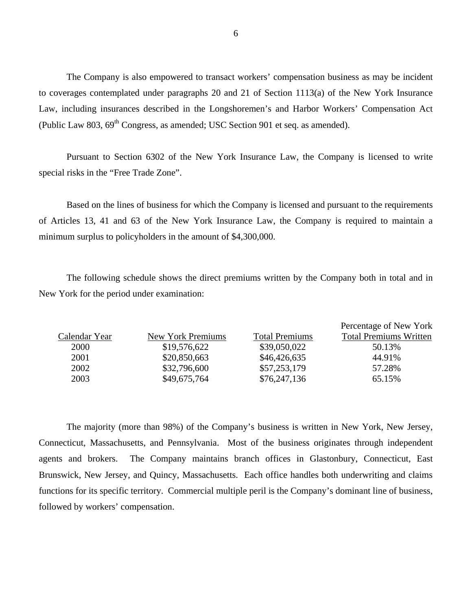The Company is also empowered to transact workers' compensation business as may be incident to coverages contemplated under paragraphs 20 and 21 of Section 1113(a) of the New York Insurance Law, including insurances described in the Longshoremen's and Harbor Workers' Compensation Act (Public Law 803,  $69^{th}$  Congress, as amended; USC Section 901 et seq. as amended).

Pursuant to Section 6302 of the New York Insurance Law, the Company is licensed to write special risks in the "Free Trade Zone".

Based on the lines of business for which the Company is licensed and pursuant to the requirements of Articles 13, 41 and 63 of the New York Insurance Law, the Company is required to maintain a minimum surplus to policyholders in the amount of \$4,300,000.

The following schedule shows the direct premiums written by the Company both in total and in New York for the period under examination:

|               |                   |                       | Percentage of New York        |
|---------------|-------------------|-----------------------|-------------------------------|
| Calendar Year | New York Premiums | <b>Total Premiums</b> | <b>Total Premiums Written</b> |
| 2000          | \$19,576,622      | \$39,050,022          | 50.13%                        |
| 2001          | \$20,850,663      | \$46,426,635          | 44.91%                        |
| 2002          | \$32,796,600      | \$57,253,179          | 57.28%                        |
| 2003          | \$49,675,764      | \$76,247,136          | 65.15%                        |

The majority (more than 98%) of the Company's business is written in New York, New Jersey, Connecticut, Massachusetts, and Pennsylvania. Most of the business originates through independent agents and brokers. The Company maintains branch offices in Glastonbury, Connecticut, East Brunswick, New Jersey, and Quincy, Massachusetts. Each office handles both underwriting and claims functions for its specific territory. Commercial multiple peril is the Company's dominant line of business, followed by workers' compensation.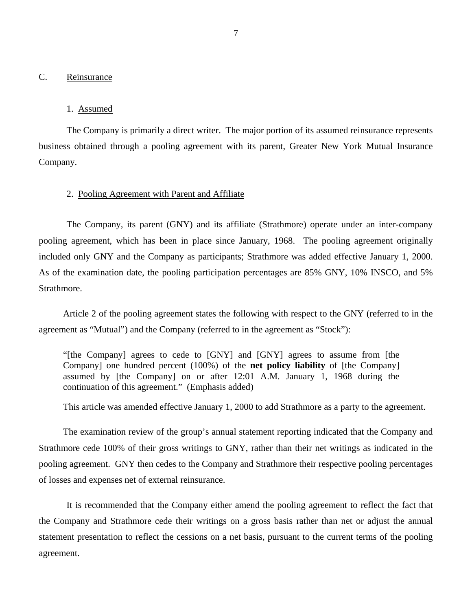#### <span id="page-8-0"></span>C. Reinsurance

#### 1. Assumed

The Company is primarily a direct writer. The major portion of its assumed reinsurance represents business obtained through a pooling agreement with its parent, Greater New York Mutual Insurance Company.

#### 2. Pooling Agreement with Parent and Affiliate

The Company, its parent (GNY) and its affiliate (Strathmore) operate under an inter-company pooling agreement, which has been in place since January, 1968. The pooling agreement originally included only GNY and the Company as participants; Strathmore was added effective January 1, 2000. As of the examination date, the pooling participation percentages are 85% GNY, 10% INSCO, and 5% Strathmore.

Article 2 of the pooling agreement states the following with respect to the GNY (referred to in the agreement as "Mutual") and the Company (referred to in the agreement as "Stock"):

"[the Company] agrees to cede to [GNY] and [GNY] agrees to assume from [the Company] one hundred percent (100%) of the **net policy liability** of [the Company] assumed by [the Company] on or after 12:01 A.M. January 1, 1968 during the continuation of this agreement." (Emphasis added)

This article was amended effective January 1, 2000 to add Strathmore as a party to the agreement.

The examination review of the group's annual statement reporting indicated that the Company and Strathmore cede 100% of their gross writings to GNY, rather than their net writings as indicated in the pooling agreement. GNY then cedes to the Company and Strathmore their respective pooling percentages of losses and expenses net of external reinsurance.

It is recommended that the Company either amend the pooling agreement to reflect the fact that the Company and Strathmore cede their writings on a gross basis rather than net or adjust the annual statement presentation to reflect the cessions on a net basis, pursuant to the current terms of the pooling agreement.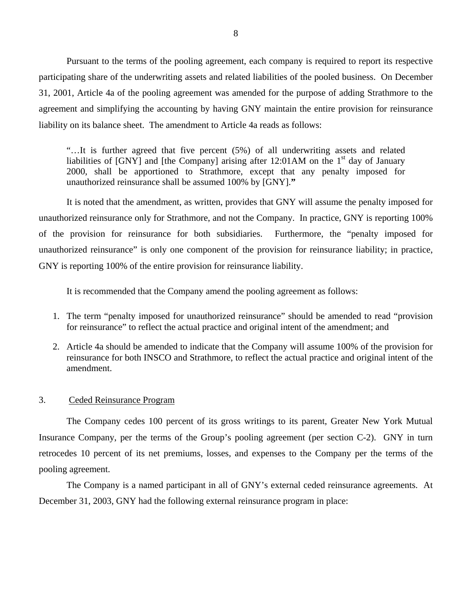Pursuant to the terms of the pooling agreement, each company is required to report its respective participating share of the underwriting assets and related liabilities of the pooled business. On December 31, 2001, Article 4a of the pooling agreement was amended for the purpose of adding Strathmore to the agreement and simplifying the accounting by having GNY maintain the entire provision for reinsurance liability on its balance sheet. The amendment to Article 4a reads as follows:

"…It is further agreed that five percent (5%) of all underwriting assets and related liabilities of [GNY] and [the Company] arising after  $12:01AM$  on the 1<sup>st</sup> day of January 2000, shall be apportioned to Strathmore, except that any penalty imposed for unauthorized reinsurance shall be assumed 100% by [GNY].**"** 

It is noted that the amendment, as written, provides that GNY will assume the penalty imposed for unauthorized reinsurance only for Strathmore, and not the Company. In practice, GNY is reporting 100% of the provision for reinsurance for both subsidiaries. Furthermore, the "penalty imposed for unauthorized reinsurance" is only one component of the provision for reinsurance liability; in practice, GNY is reporting 100% of the entire provision for reinsurance liability.

It is recommended that the Company amend the pooling agreement as follows:

- 1. The term "penalty imposed for unauthorized reinsurance" should be amended to read "provision for reinsurance" to reflect the actual practice and original intent of the amendment; and
- 2. Article 4a should be amended to indicate that the Company will assume 100% of the provision for reinsurance for both INSCO and Strathmore, to reflect the actual practice and original intent of the amendment.

#### 3. Ceded Reinsurance Program

The Company cedes 100 percent of its gross writings to its parent, Greater New York Mutual Insurance Company, per the terms of the Group's pooling agreement (per section C-2). GNY in turn retrocedes 10 percent of its net premiums, losses, and expenses to the Company per the terms of the pooling agreement.

The Company is a named participant in all of GNY's external ceded reinsurance agreements. At December 31, 2003, GNY had the following external reinsurance program in place: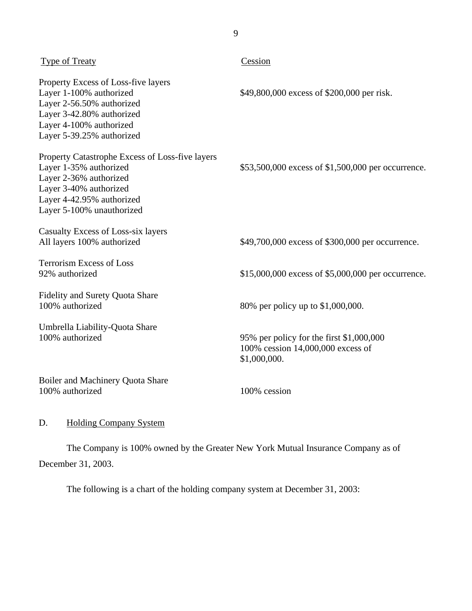<span id="page-10-0"></span>

| <b>Type of Treaty</b>                                                                                                                                                                   | Cession                                                                                       |
|-----------------------------------------------------------------------------------------------------------------------------------------------------------------------------------------|-----------------------------------------------------------------------------------------------|
| Property Excess of Loss-five layers<br>Layer 1-100% authorized<br>Layer 2-56.50% authorized<br>Layer 3-42.80% authorized<br>Layer 4-100% authorized<br>Layer 5-39.25% authorized        | \$49,800,000 excess of \$200,000 per risk.                                                    |
| Property Catastrophe Excess of Loss-five layers<br>Layer 1-35% authorized<br>Layer 2-36% authorized<br>Layer 3-40% authorized<br>Layer 4-42.95% authorized<br>Layer 5-100% unauthorized | \$53,500,000 excess of \$1,500,000 per occurrence.                                            |
| Casualty Excess of Loss-six layers<br>All layers 100% authorized                                                                                                                        | \$49,700,000 excess of \$300,000 per occurrence.                                              |
| <b>Terrorism Excess of Loss</b><br>92% authorized                                                                                                                                       | \$15,000,000 excess of \$5,000,000 per occurrence.                                            |
| Fidelity and Surety Quota Share<br>100% authorized                                                                                                                                      | 80% per policy up to \$1,000,000.                                                             |
| Umbrella Liability-Quota Share<br>100% authorized                                                                                                                                       | 95% per policy for the first \$1,000,000<br>100% cession 14,000,000 excess of<br>\$1,000,000. |
| Boiler and Machinery Quota Share<br>100% authorized                                                                                                                                     | 100% cession                                                                                  |

9

## D. Holding Company System

The Company is 100% owned by the Greater New York Mutual Insurance Company as of December 31, 2003.

The following is a chart of the holding company system at December 31, 2003: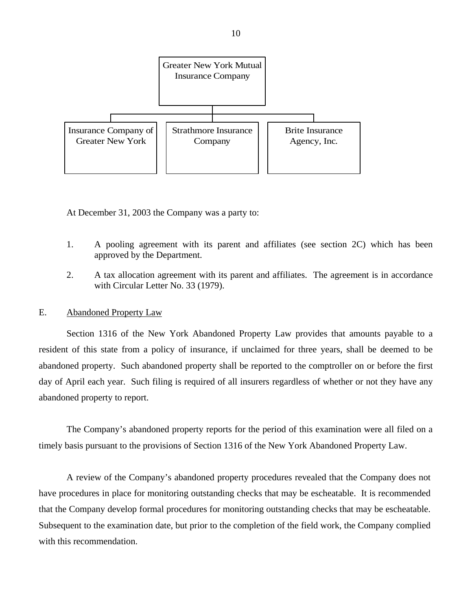<span id="page-11-0"></span>

At December 31, 2003 the Company was a party to:

- 1. A pooling agreement with its parent and affiliates (see section 2C) which has been approved by the Department.
- 2. A tax allocation agreement with its parent and affiliates. The agreement is in accordance with Circular Letter No. 33 (1979).

#### E. Abandoned Property Law

Section 1316 of the New York Abandoned Property Law provides that amounts payable to a resident of this state from a policy of insurance, if unclaimed for three years, shall be deemed to be abandoned property. Such abandoned property shall be reported to the comptroller on or before the first day of April each year. Such filing is required of all insurers regardless of whether or not they have any abandoned property to report.

The Company's abandoned property reports for the period of this examination were all filed on a timely basis pursuant to the provisions of Section 1316 of the New York Abandoned Property Law.

A review of the Company's abandoned property procedures revealed that the Company does not have procedures in place for monitoring outstanding checks that may be escheatable. It is recommended that the Company develop formal procedures for monitoring outstanding checks that may be escheatable. Subsequent to the examination date, but prior to the completion of the field work, the Company complied with this recommendation.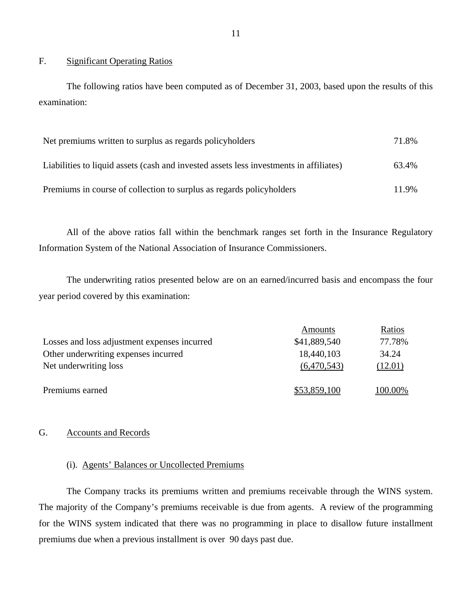#### F. Significant Operating Ratios

The following ratios have been computed as of December 31, 2003, based upon the results of this examination:

| Net premiums written to surplus as regards policyholders                               | 71.8% |
|----------------------------------------------------------------------------------------|-------|
| Liabilities to liquid assets (cash and invested assets less investments in affiliates) | 63.4% |
| Premiums in course of collection to surplus as regards policyholders                   | 11.9% |

All of the above ratios fall within the benchmark ranges set forth in the Insurance Regulatory Information System of the National Association of Insurance Commissioners.

The underwriting ratios presented below are on an earned/incurred basis and encompass the four year period covered by this examination:

|                                              | Amounts      | Ratios  |
|----------------------------------------------|--------------|---------|
| Losses and loss adjustment expenses incurred | \$41,889,540 | 77.78%  |
| Other underwriting expenses incurred         | 18,440,103   | 34.24   |
| Net underwriting loss                        | (6,470,543)  | (12.01) |
| Premiums earned                              | \$53,859,100 | 100.00% |

#### G. Accounts and Records

#### (i). Agents' Balances or Uncollected Premiums

The Company tracks its premiums written and premiums receivable through the WINS system. The majority of the Company's premiums receivable is due from agents. A review of the programming for the WINS system indicated that there was no programming in place to disallow future installment premiums due when a previous installment is over 90 days past due.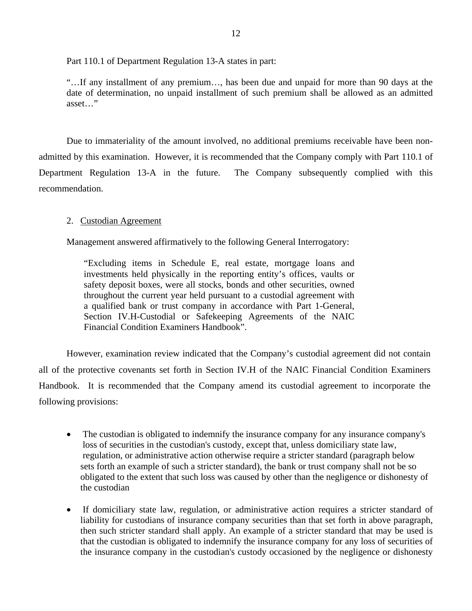Part 110.1 of Department Regulation 13-A states in part:

"…If any installment of any premium…, has been due and unpaid for more than 90 days at the date of determination, no unpaid installment of such premium shall be allowed as an admitted asset…"

Due to immateriality of the amount involved, no additional premiums receivable have been nonadmitted by this examination. However, it is recommended that the Company comply with Part 110.1 of Department Regulation 13-A in the future. The Company subsequently complied with this recommendation.

### 2. Custodian Agreement

Management answered affirmatively to the following General Interrogatory:

"Excluding items in Schedule E, real estate, mortgage loans and investments held physically in the reporting entity's offices, vaults or safety deposit boxes, were all stocks, bonds and other securities, owned throughout the current year held pursuant to a custodial agreement with a qualified bank or trust company in accordance with Part 1-General, Section IV.H-Custodial or Safekeeping Agreements of the NAIC Financial Condition Examiners Handbook".

However, examination review indicated that the Company's custodial agreement did not contain all of the protective covenants set forth in Section IV.H of the NAIC Financial Condition Examiners Handbook. It is recommended that the Company amend its custodial agreement to incorporate the following provisions:

- The custodian is obligated to indemnify the insurance company for any insurance company's loss of securities in the custodian's custody, except that, unless domiciliary state law, regulation, or administrative action otherwise require a stricter standard (paragraph below sets forth an example of such a stricter standard), the bank or trust company shall not be so obligated to the extent that such loss was caused by other than the negligence or dishonesty of the custodian
- If domiciliary state law, regulation, or administrative action requires a stricter standard of liability for custodians of insurance company securities than that set forth in above paragraph, then such stricter standard shall apply. An example of a stricter standard that may be used is that the custodian is obligated to indemnify the insurance company for any loss of securities of the insurance company in the custodian's custody occasioned by the negligence or dishonesty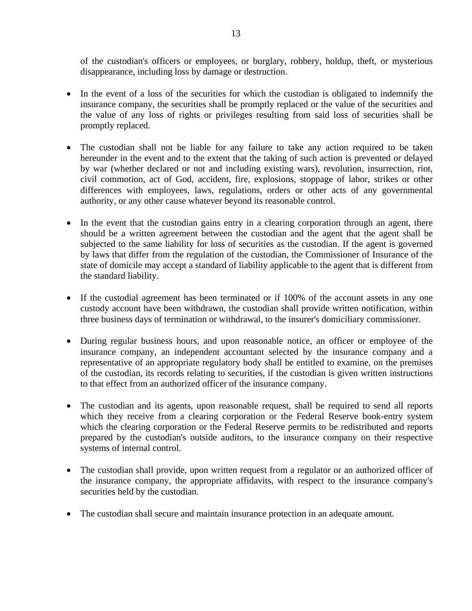of the custodian's officers or employees, or burglary, robbery, holdup, theft, or mysterious disappearance, including loss by damage or destruction.

- In the event of a loss of the securities for which the custodian is obligated to indemnify the insurance company, the securities shall be promptly replaced or the value of the securities and the value of any loss of rights or privileges resulting from said loss of securities shall be promptly replaced.
- The custodian shall not be liable for any failure to take any action required to be taken hereunder in the event and to the extent that the taking of such action is prevented or delayed by war (whether declared or not and including existing wars), revolution, insurrection, riot, civil commotion, act of God, accident, fire, explosions, stoppage of labor, strikes or other differences with employees, laws, regulations, orders or other acts of any governmental authority, or any other cause whatever beyond its reasonable control.
- In the event that the custodian gains entry in a clearing corporation through an agent, there should be a written agreement between the custodian and the agent that the agent shall be subjected to the same liability for loss of securities as the custodian. If the agent is governed by laws that differ from the regulation of the custodian, the Commissioner of Insurance of the state of domicile may accept a standard of liability applicable to the agent that is different from the standard liability.
- If the custodial agreement has been terminated or if 100% of the account assets in any one custody account have been withdrawn, the custodian shall provide written notification, within three business days of termination or withdrawal, to the insurer's domiciliary commissioner.
- During regular business hours, and upon reasonable notice, an officer or employee of the insurance company, an independent accountant selected by the insurance company and a representative of an appropriate regulatory body shall be entitled to examine, on the premises of the custodian, its records relating to securities, if the custodian is given written instructions to that effect from an authorized officer of the insurance company.
- The custodian and its agents, upon reasonable request, shall be required to send all reports which they receive from a clearing corporation or the Federal Reserve book-entry system which the clearing corporation or the Federal Reserve permits to be redistributed and reports prepared by the custodian's outside auditors, to the insurance company on their respective systems of internal control.
- The custodian shall provide, upon written request from a regulator or an authorized officer of the insurance company, the appropriate affidavits, with respect to the insurance company's securities held by the custodian.
- The custodian shall secure and maintain insurance protection in an adequate amount.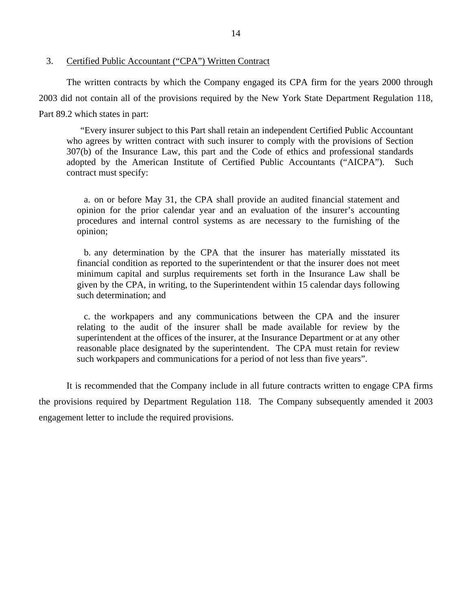#### 3. Certified Public Accountant ("CPA") Written Contract

The written contracts by which the Company engaged its CPA firm for the years 2000 through 2003 did not contain all of the provisions required by the New York State Department Regulation 118, Part 89.2 which states in part:

"Every insurer subject to this Part shall retain an independent Certified Public Accountant who agrees by written contract with such insurer to comply with the provisions of Section 307(b) of the Insurance Law, this part and the Code of ethics and professional standards adopted by the American Institute of Certified Public Accountants ("AICPA"). Such contract must specify:

a. on or before May 31, the CPA shall provide an audited financial statement and opinion for the prior calendar year and an evaluation of the insurer's accounting procedures and internal control systems as are necessary to the furnishing of the opinion;

b. any determination by the CPA that the insurer has materially misstated its financial condition as reported to the superintendent or that the insurer does not meet minimum capital and surplus requirements set forth in the Insurance Law shall be given by the CPA, in writing, to the Superintendent within 15 calendar days following such determination; and

c. the workpapers and any communications between the CPA and the insurer relating to the audit of the insurer shall be made available for review by the superintendent at the offices of the insurer, at the Insurance Department or at any other reasonable place designated by the superintendent. The CPA must retain for review such workpapers and communications for a period of not less than five years".

It is recommended that the Company include in all future contracts written to engage CPA firms the provisions required by Department Regulation 118. The Company subsequently amended it 2003 engagement letter to include the required provisions.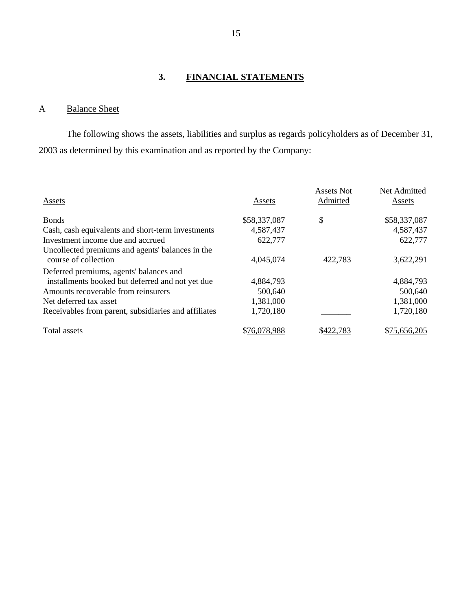## **3. FINANCIAL STATEMENTS**

## <span id="page-16-0"></span>A Balance Sheet

The following shows the assets, liabilities and surplus as regards policyholders as of December 31, 2003 as determined by this examination and as reported by the Company:

| Assets                                               | Assets       | <b>Assets Not</b><br>Admitted | Net Admitted<br>Assets |
|------------------------------------------------------|--------------|-------------------------------|------------------------|
| <b>Bonds</b>                                         | \$58,337,087 | \$                            | \$58,337,087           |
| Cash, cash equivalents and short-term investments    | 4,587,437    |                               | 4,587,437              |
| Investment income due and accrued                    | 622,777      |                               | 622,777                |
| Uncollected premiums and agents' balances in the     |              |                               |                        |
| course of collection                                 | 4,045,074    | 422,783                       | 3,622,291              |
| Deferred premiums, agents' balances and              |              |                               |                        |
| installments booked but deferred and not yet due     | 4,884,793    |                               | 4,884,793              |
| Amounts recoverable from reinsurers                  | 500,640      |                               | 500,640                |
| Net deferred tax asset                               | 1,381,000    |                               | 1,381,000              |
| Receivables from parent, subsidiaries and affiliates | 1,720,180    |                               | 1,720,180              |
| Total assets                                         | \$76,078,988 |                               | \$75,656,205           |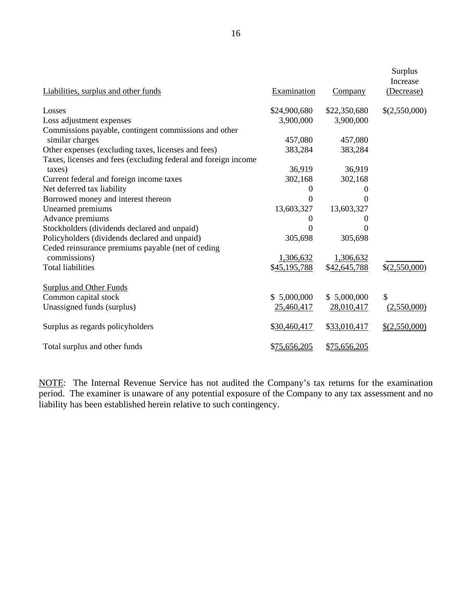| Liabilities, surplus and other funds                           | Examination  | Company      | Surplus<br>Increase<br>(Decrease) |
|----------------------------------------------------------------|--------------|--------------|-----------------------------------|
| Losses                                                         | \$24,900,680 | \$22,350,680 | \$(2,550,000)                     |
| Loss adjustment expenses                                       | 3,900,000    | 3,900,000    |                                   |
| Commissions payable, contingent commissions and other          |              |              |                                   |
| similar charges                                                | 457,080      | 457,080      |                                   |
| Other expenses (excluding taxes, licenses and fees)            | 383,284      | 383,284      |                                   |
| Taxes, licenses and fees (excluding federal and foreign income |              |              |                                   |
| taxes)                                                         | 36,919       | 36,919       |                                   |
| Current federal and foreign income taxes                       | 302,168      | 302,168      |                                   |
| Net deferred tax liability                                     | 0            | $\Omega$     |                                   |
| Borrowed money and interest thereon                            | 0            | $\Omega$     |                                   |
| Unearned premiums                                              | 13,603,327   | 13,603,327   |                                   |
| Advance premiums                                               | 0            | $\theta$     |                                   |
| Stockholders (dividends declared and unpaid)                   | 0            | 0            |                                   |
| Policyholders (dividends declared and unpaid)                  | 305,698      | 305,698      |                                   |
| Ceded reinsurance premiums payable (net of ceding              |              |              |                                   |
| commissions)                                                   | 1,306,632    | 1,306,632    |                                   |
| <b>Total liabilities</b>                                       | \$45,195,788 | \$42,645,788 | \$(2,550,000)                     |
| <b>Surplus and Other Funds</b>                                 |              |              |                                   |
| Common capital stock                                           | \$5,000,000  | \$5,000,000  | \$                                |
| Unassigned funds (surplus)                                     | 25,460,417   | 28,010,417   | (2,550,000)                       |
| Surplus as regards policyholders                               | \$30,460,417 | \$33,010,417 | \$(2,550,000)                     |
| Total surplus and other funds                                  | \$75,656,205 | \$75,656,205 |                                   |

NOTE: The Internal Revenue Service has not audited the Company's tax returns for the examination period. The examiner is unaware of any potential exposure of the Company to any tax assessment and no liability has been established herein relative to such contingency.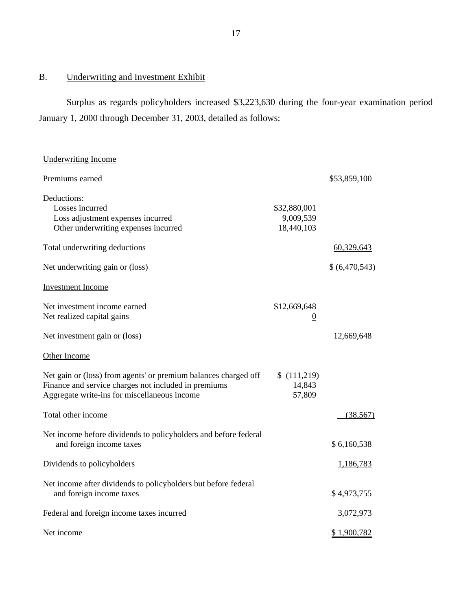## B. Underwriting and Investment Exhibit

Surplus as regards policyholders increased \$3,223,630 during the four-year examination period January 1, 2000 through December 31, 2003, detailed as follows:

| <b>Underwriting Income</b>                                                                                                                                              |                                         |               |
|-------------------------------------------------------------------------------------------------------------------------------------------------------------------------|-----------------------------------------|---------------|
| Premiums earned                                                                                                                                                         |                                         | \$53,859,100  |
| Deductions:<br>Losses incurred<br>Loss adjustment expenses incurred<br>Other underwriting expenses incurred                                                             | \$32,880,001<br>9,009,539<br>18,440,103 |               |
| Total underwriting deductions                                                                                                                                           |                                         | 60,329,643    |
| Net underwriting gain or (loss)                                                                                                                                         |                                         | \$(6,470,543) |
| <b>Investment Income</b>                                                                                                                                                |                                         |               |
| Net investment income earned<br>Net realized capital gains                                                                                                              | \$12,669,648<br>$\overline{0}$          |               |
| Net investment gain or (loss)                                                                                                                                           |                                         | 12,669,648    |
| Other Income                                                                                                                                                            |                                         |               |
| Net gain or (loss) from agents' or premium balances charged off<br>Finance and service charges not included in premiums<br>Aggregate write-ins for miscellaneous income | \$(111,219)<br>14,843<br>57,809         |               |
| Total other income                                                                                                                                                      |                                         | (38, 567)     |
| Net income before dividends to policyholders and before federal<br>and foreign income taxes                                                                             |                                         | \$6,160,538   |
| Dividends to policyholders                                                                                                                                              |                                         | 1,186,783     |
| Net income after dividends to policyholders but before federal<br>and foreign income taxes                                                                              |                                         | \$4,973,755   |
| Federal and foreign income taxes incurred                                                                                                                               |                                         | 3,072,973     |
| Net income                                                                                                                                                              |                                         | \$1,900,782   |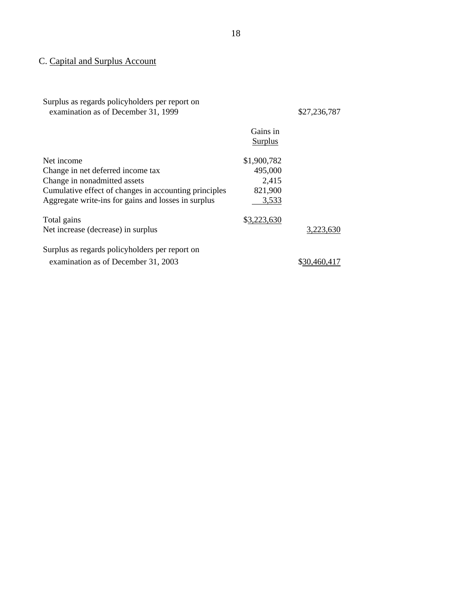## C. Capital and Surplus Account

Surplus as regards policyholders per report on examination as of December 31, 1999 \$27,236,787

|                                                       | Gains in<br>Surplus |           |
|-------------------------------------------------------|---------------------|-----------|
| Net income                                            | \$1,900,782         |           |
| Change in net deferred income tax                     | 495,000             |           |
| Change in nonadmitted assets                          | 2,415               |           |
| Cumulative effect of changes in accounting principles | 821,900             |           |
| Aggregate write-ins for gains and losses in surplus   | 3,533               |           |
| Total gains                                           | \$3,223,630         |           |
| Net increase (decrease) in surplus                    |                     | 3.223.630 |
| Surplus as regards policyholders per report on        |                     |           |
| examination as of December 31, 2003                   |                     |           |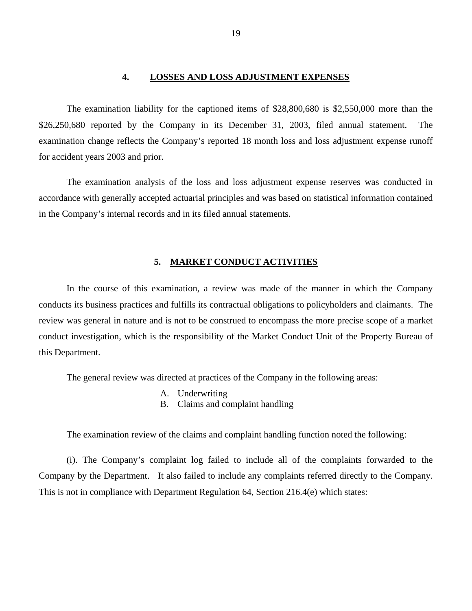#### **4. LOSSES AND LOSS ADJUSTMENT EXPENSES**

<span id="page-20-0"></span>The examination liability for the captioned items of \$28,800,680 is \$2,550,000 more than the \$26,250,680 reported by the Company in its December 31, 2003, filed annual statement. The examination change reflects the Company's reported 18 month loss and loss adjustment expense runoff for accident years 2003 and prior.

The examination analysis of the loss and loss adjustment expense reserves was conducted in accordance with generally accepted actuarial principles and was based on statistical information contained in the Company's internal records and in its filed annual statements.

#### **5. MARKET CONDUCT ACTIVITIES**

In the course of this examination, a review was made of the manner in which the Company conducts its business practices and fulfills its contractual obligations to policyholders and claimants. The review was general in nature and is not to be construed to encompass the more precise scope of a market conduct investigation, which is the responsibility of the Market Conduct Unit of the Property Bureau of this Department.

The general review was directed at practices of the Company in the following areas:

- A. Underwriting
- B. Claims and complaint handling

The examination review of the claims and complaint handling function noted the following:

(i). The Company's complaint log failed to include all of the complaints forwarded to the Company by the Department. It also failed to include any complaints referred directly to the Company. This is not in compliance with Department Regulation 64, Section 216.4(e) which states: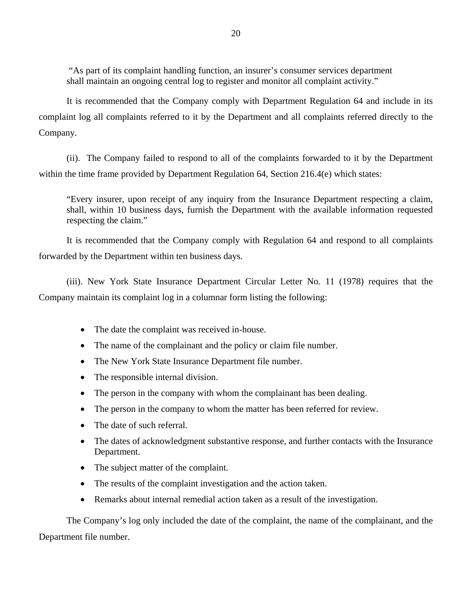"As part of its complaint handling function, an insurer's consumer services department shall maintain an ongoing central log to register and monitor all complaint activity."

It is recommended that the Company comply with Department Regulation 64 and include in its complaint log all complaints referred to it by the Department and all complaints referred directly to the Company.

(ii). The Company failed to respond to all of the complaints forwarded to it by the Department within the time frame provided by Department Regulation 64, Section 216.4(e) which states:

"Every insurer, upon receipt of any inquiry from the Insurance Department respecting a claim, shall, within 10 business days, furnish the Department with the available information requested respecting the claim."

It is recommended that the Company comply with Regulation 64 and respond to all complaints forwarded by the Department within ten business days.

(iii). New York State Insurance Department Circular Letter No. 11 (1978) requires that the Company maintain its complaint log in a columnar form listing the following:

- The date the complaint was received in-house.
- The name of the complainant and the policy or claim file number.
- The New York State Insurance Department file number.
- The responsible internal division.
- The person in the company with whom the complainant has been dealing.
- The person in the company to whom the matter has been referred for review.
- The date of such referral.
- The dates of acknowledgment substantive response, and further contacts with the Insurance Department.
- The subject matter of the complaint.
- The results of the complaint investigation and the action taken.
- Remarks about internal remedial action taken as a result of the investigation.

The Company's log only included the date of the complaint, the name of the complainant, and the Department file number.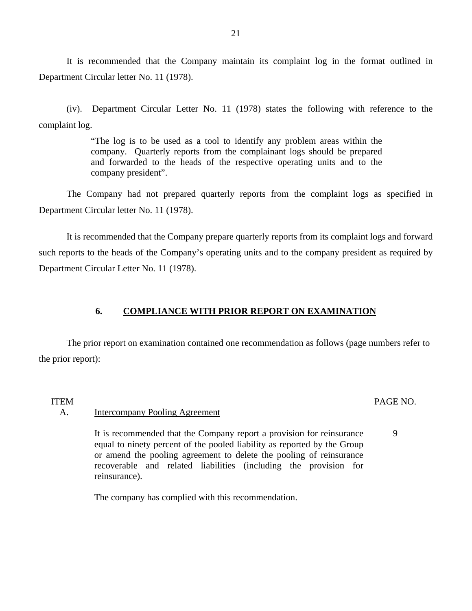It is recommended that the Company maintain its complaint log in the format outlined in Department Circular letter No. 11 (1978).

(iv). Department Circular Letter No. 11 (1978) states the following with reference to the complaint log.

> "The log is to be used as a tool to identify any problem areas within the company. Quarterly reports from the complainant logs should be prepared and forwarded to the heads of the respective operating units and to the company president".

The Company had not prepared quarterly reports from the complaint logs as specified in Department Circular letter No. 11 (1978).

It is recommended that the Company prepare quarterly reports from its complaint logs and forward such reports to the heads of the Company's operating units and to the company president as required by Department Circular Letter No. 11 (1978).

#### **6. COMPLIANCE WITH PRIOR REPORT ON EXAMINATION**

The prior report on examination contained one recommendation as follows (page numbers refer to the prior report):

#### ITEM

#### A. Intercompany Pooling Agreement

It is recommended that the Company report a provision for reinsurance equal to ninety percent of the pooled liability as reported by the Group or amend the pooling agreement to delete the pooling of reinsurance recoverable and related liabilities (including the provision for reinsurance).

The company has complied with this recommendation.

#### 21

## PAGE NO.

#### 9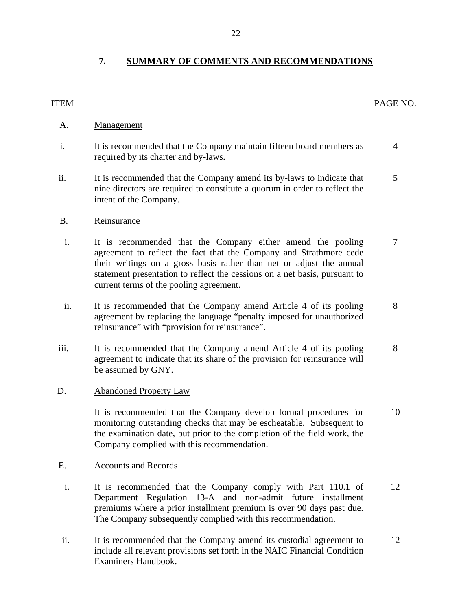## **7. SUMMARY OF COMMENTS AND RECOMMENDATIONS**

### <span id="page-23-0"></span>ITEM PAGE NO.

### A. Management

- i. It is recommended that the Company maintain fifteen board members as  $\frac{4}{3}$ required by its charter and by-laws.
- ii. It is recommended that the Company amend its by-laws to indicate that 5 nine directors are required to constitute a quorum in order to reflect the intent of the Company.

#### B. Reinsurance

- i. It is recommended that the Company either amend the pooling 7 agreement to reflect the fact that the Company and Strathmore cede their writings on a gross basis rather than net or adjust the annual statement presentation to reflect the cessions on a net basis, pursuant to current terms of the pooling agreement.
- ii. It is recommended that the Company amend Article 4 of its pooling 8 agreement by replacing the language "penalty imposed for unauthorized reinsurance" with "provision for reinsurance".
- iii. It is recommended that the Company amend Article 4 of its pooling 8 agreement to indicate that its share of the provision for reinsurance will be assumed by GNY.

#### D. Abandoned Property Law

It is recommended that the Company develop formal procedures for 10 monitoring outstanding checks that may be escheatable. Subsequent to the examination date, but prior to the completion of the field work, the Company complied with this recommendation.

#### E. Accounts and Records

- i. It is recommended that the Company comply with Part 110.1 of 12 Department Regulation 13-A and non-admit future installment premiums where a prior installment premium is over 90 days past due. The Company subsequently complied with this recommendation.
- ii. It is recommended that the Company amend its custodial agreement to 12 include all relevant provisions set forth in the NAIC Financial Condition Examiners Handbook.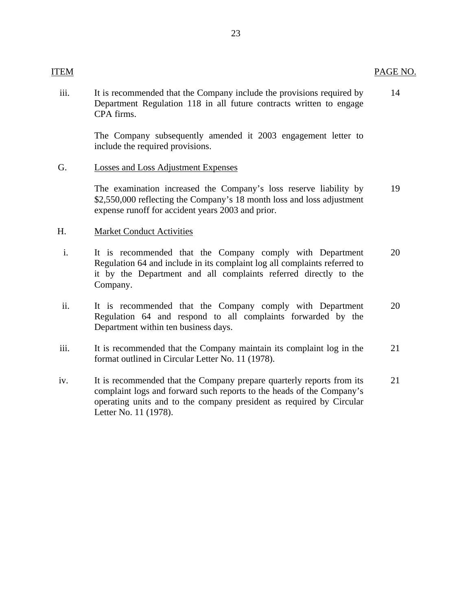#### ITEM PAGE NO.

iii. It is recommended that the Company include the provisions required by 14 Department Regulation 118 in all future contracts written to engage CPA firms.

> The Company subsequently amended it 2003 engagement letter to include the required provisions.

G. Losses and Loss Adjustment Expenses

The examination increased the Company's loss reserve liability by 19 \$2,550,000 reflecting the Company's 18 month loss and loss adjustment expense runoff for accident years 2003 and prior.

#### H. Market Conduct Activities

- i. It is recommended that the Company comply with Department 20 Regulation 64 and include in its complaint log all complaints referred to it by the Department and all complaints referred directly to the Company.
- ii. It is recommended that the Company comply with Department 20 Regulation 64 and respond to all complaints forwarded by the Department within ten business days.
- iii. It is recommended that the Company maintain its complaint log in the 21 format outlined in Circular Letter No. 11 (1978).
- iv. It is recommended that the Company prepare quarterly reports from its 21 complaint logs and forward such reports to the heads of the Company's operating units and to the company president as required by Circular Letter No. 11 (1978).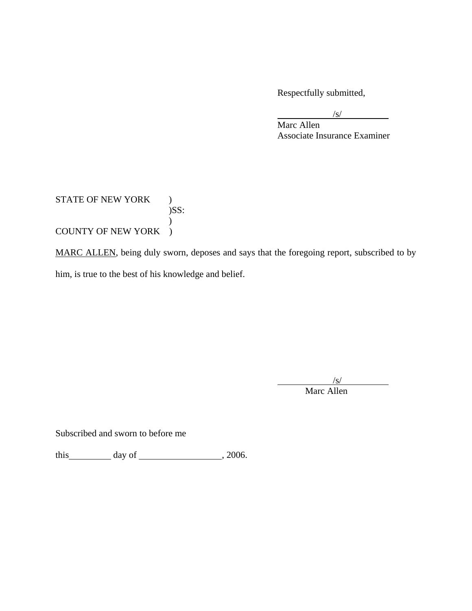Respectfully submitted,

 $\sqrt{s}$ /s/

Marc Allen Associate Insurance Examiner

## STATE OF NEW YORK )  $)$ SS:  $\mathcal{L}$ COUNTY OF NEW YORK )

MARC ALLEN, being duly sworn, deposes and says that the foregoing report, subscribed to by him, is true to the best of his knowledge and belief.

 $\sqrt{s}$ /s/ Marc Allen

Subscribed and sworn to before me

this  $\qquad \qquad$  day of  $\qquad \qquad$  , 2006.